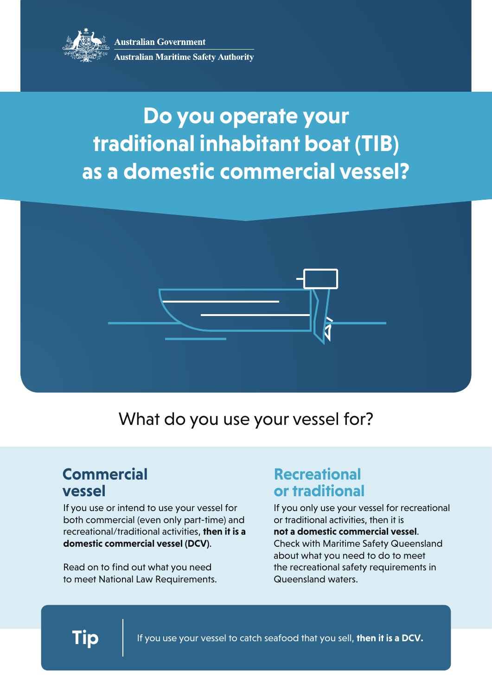

**Australian Government Australian Maritime Safety Authority** 

# **Do you operate your traditional inhabitant boat (TIB) as a domestic commercial vessel?**



### What do you use your vessel for?

### **Commercial vessel**

If you use or intend to use your vessel for both commercial (even only part-time) and recreational/traditional activities, **then it is a domestic commercial vessel (DCV)**.

Read on to find out what you need to meet National Law Requirements.

#### **Recreational or traditional**

If you only use your vessel for recreational or traditional activities, then it is

**not a domestic commercial vessel**. Check with Maritime Safety Queensland about what you need to do to meet the recreational safety requirements in Queensland waters.

**Tip** If you use your vessel to catch seafood that you sell, **then it is a DCV.**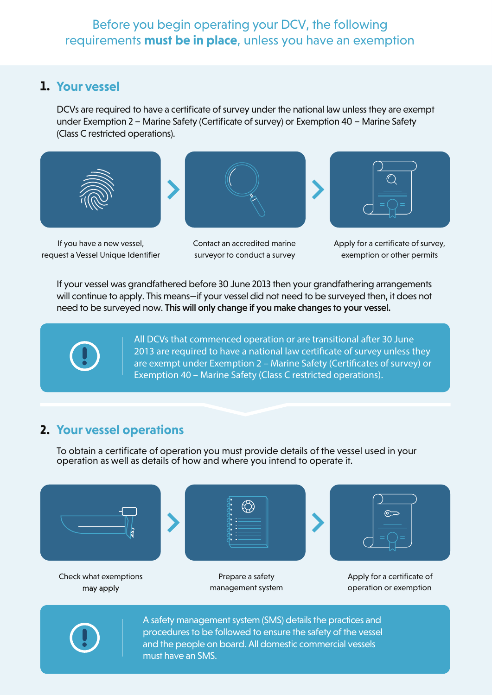#### Before you begin operating your DCV, the following requirements **must be in place**, unless you have an exemption

#### **1. Your vessel**

DCVs are required to have a certificate of survey under the national law unless they are exempt under Exemption 2 – Marine Safety (Certificate of survey) or Exemption 40 – Marine Safety (Class C restricted operations).



If you have a new vessel, request a Vessel Unique Identifier



Contact an accredited marine surveyor to conduct a survey



Apply for a certificate of survey, exemption or other permits

If your vessel was grandfathered before 30 June 2013 then your grandfathering arrangements will continue to apply. This means—if your vessel did not need to be surveyed then, it does not need to be surveyed now. This will only change if you make changes to your vessel.



All DCVs that commenced operation or are transitional after 30 June 2013 are required to have a national law certificate of survey unless they are exempt under Exemption 2 – Marine Safety (Certificates of survey) or Exemption 40 – Marine Safety (Class C restricted operations).

#### **2. Your vessel operations**

To obtain a certificate of operation you must provide details of the vessel used in your operation as well as details of how and where you intend to operate it.



may apply

Prepare a safety management system

Check what exemptions **Apply for a certificate of**  $\blacksquare$  Prepare a safety  $\blacksquare$  Apply for a certificate of operation or exemption



A safety management system (SMS) details the practices and procedures to be followed to ensure the safety of the vessel and the people on board. All domestic commercial vessels must have an SMS.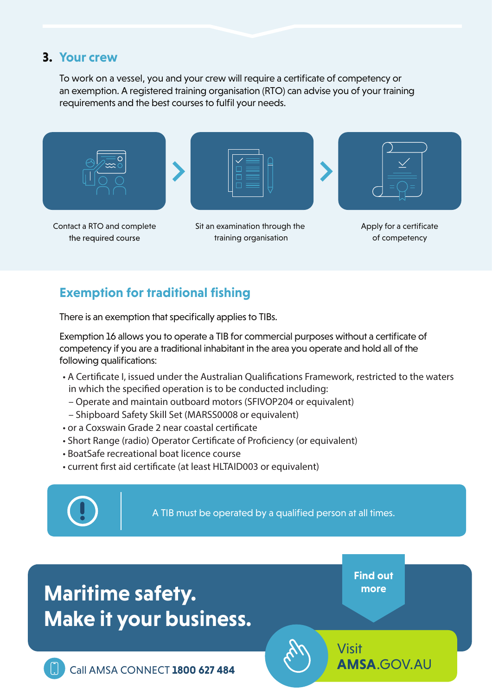#### **3. Your crew**

To work on a vessel, you and your crew will require a certificate of competency or an exemption. A registered training organisation (RTO) can advise you of your training requirements and the best courses to fulfil your needs.



the required course

training organisation

Apply for a certificate of competency

#### **Exemption for traditional fishing**

There is an exemption that specifically applies to TIBs.

Exemption 16 allows you to operate a TIB for commercial purposes without a certificate of competency if you are a traditional inhabitant in the area you operate and hold all of the following qualifications:

- A Certificate I, issued under the Australian Qualifications Framework, restricted to the waters in which the specified operation is to be conducted including:
	- Operate and maintain outboard motors (SFIVOP204 or equivalent)
- Shipboard Safety Skill Set (MARSS0008 or equivalent)
- or a Coxswain Grade 2 near coastal certificate
- Short Range (radio) Operator Certificate of Proficiency (or equivalent)
- BoatSafe recreational boat licence course
- current first aid certificate (at least HLTAID003 or equivalent)



A TIB must be operated by a qualified person at all times.